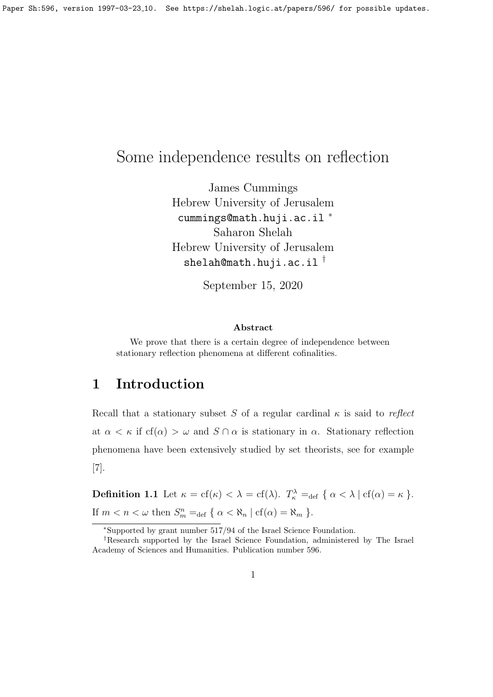# Some independence results on reflection

James Cummings Hebrew University of Jerusalem cummings@math.huji.ac.il <sup>∗</sup> Saharon Shelah Hebrew University of Jerusalem  $shelah@math.html$ i.ac.il<sup>†</sup>

September 15, 2020

#### Abstract

We prove that there is a certain degree of independence between stationary reflection phenomena at different cofinalities.

## 1 Introduction

Recall that a stationary subset S of a regular cardinal  $\kappa$  is said to reflect at  $\alpha < \kappa$  if cf( $\alpha$ )  $> \omega$  and  $S \cap \alpha$  is stationary in  $\alpha$ . Stationary reflection phenomena have been extensively studied by set theorists, see for example [7].

**Definition 1.1** Let  $\kappa = cf(\kappa) < \lambda = cf(\lambda)$ .  $T_{\kappa}^{\lambda} =_{def} \{ \alpha < \lambda \mid cf(\alpha) = \kappa \}$ . If  $m < n < \omega$  then  $S_m^n =_{\text{def}} \{ \alpha < \aleph_n \mid \text{cf}(\alpha) = \aleph_m \}$ .

<sup>∗</sup>Supported by grant number 517/94 of the Israel Science Foundation.

<sup>†</sup>Research supported by the Israel Science Foundation, administered by The Israel Academy of Sciences and Humanities. Publication number 596.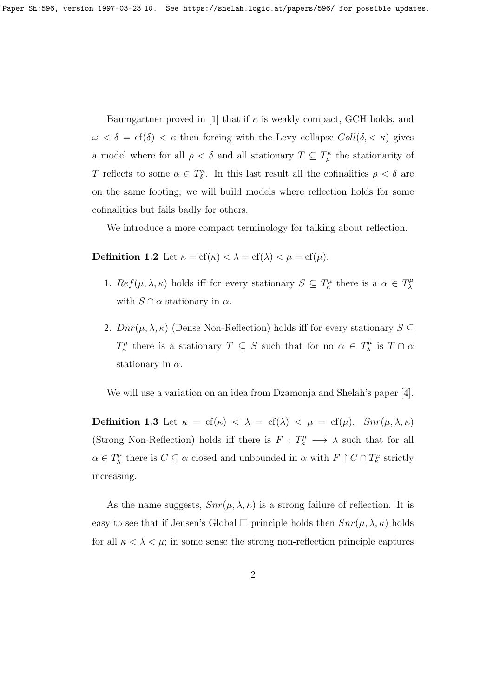Baumgartner proved in [1] that if  $\kappa$  is weakly compact, GCH holds, and  $\omega < \delta = \text{cf}(\delta) < \kappa$  then forcing with the Levy collapse  $Coll(\delta, < \kappa)$  gives a model where for all  $\rho < \delta$  and all stationary  $T \subseteq T_{\rho}^{\kappa}$  the stationarity of T reflects to some  $\alpha \in T^{\kappa}_{\delta}$ . In this last result all the cofinalities  $\rho < \delta$  are on the same footing; we will build models where reflection holds for some cofinalities but fails badly for others.

We introduce a more compact terminology for talking about reflection.

**Definition 1.2** Let  $\kappa = cf(\kappa) < \lambda = cf(\lambda) < \mu = cf(\mu)$ .

- 1.  $Ref(\mu, \lambda, \kappa)$  holds iff for every stationary  $S \subseteq T_{\kappa}^{\mu}$  there is a  $\alpha \in T_{\lambda}^{\mu}$ λ with  $S \cap \alpha$  stationary in  $\alpha$ .
- 2.  $Dnr(\mu, \lambda, \kappa)$  (Dense Non-Reflection) holds iff for every stationary  $S \subseteq$  $T_{\kappa}^{\mu}$  there is a stationary  $T \subseteq S$  such that for no  $\alpha \in T_{\lambda}^{\mu}$  $\chi^{\mu}$  is  $T \cap \alpha$ stationary in  $\alpha$ .

We will use a variation on an idea from Dzamonja and Shelah's paper [4].

Definition 1.3 Let  $\kappa = cf(\kappa) < \lambda = cf(\lambda) < \mu = cf(\mu)$ .  $Snr(\mu, \lambda, \kappa)$ (Strong Non-Reflection) holds iff there is  $F: T^{\mu}_{\kappa} \longrightarrow \lambda$  such that for all  $\alpha \in T_{\lambda}^{\mu}$  $\chi^{\mu}$  there is  $C \subseteq \alpha$  closed and unbounded in  $\alpha$  with  $F \restriction C \cap T^{\mu}_{\kappa}$  strictly increasing.

As the name suggests,  $Snr(\mu, \lambda, \kappa)$  is a strong failure of reflection. It is easy to see that if Jensen's Global  $\Box$  principle holds then  $Snr(\mu, \lambda, \kappa)$  holds for all  $\kappa < \lambda < \mu$ ; in some sense the strong non-reflection principle captures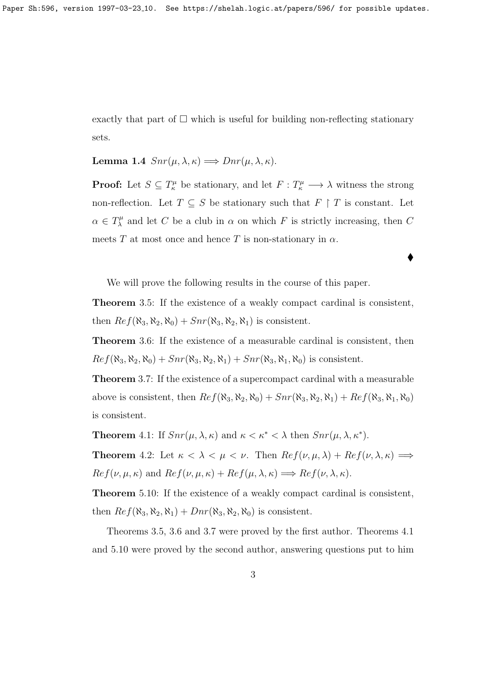exactly that part of  $\Box$  which is useful for building non-reflecting stationary sets.

Lemma 1.4  $Snr(\mu, \lambda, \kappa) \Longrightarrow Dnr(\mu, \lambda, \kappa)$ .

**Proof:** Let  $S \subseteq T^{\mu}_{\kappa}$  be stationary, and let  $F : T^{\mu}_{\kappa} \longrightarrow \lambda$  witness the strong non-reflection. Let  $T \subseteq S$  be stationary such that  $F \restriction T$  is constant. Let  $\alpha \in T_{\lambda}^{\mu}$  $\chi^{\mu}$  and let C be a club in  $\alpha$  on which F is strictly increasing, then C meets T at most once and hence T is non-stationary in  $\alpha$ .

 $\blacklozenge$ 

We will prove the following results in the course of this paper.

Theorem 3.5: If the existence of a weakly compact cardinal is consistent, then  $Ref(\aleph_3, \aleph_2, \aleph_0) + Snr(\aleph_3, \aleph_2, \aleph_1)$  is consistent.

Theorem 3.6: If the existence of a measurable cardinal is consistent, then  $Ref(\aleph_3, \aleph_2, \aleph_0) + Snr(\aleph_3, \aleph_2, \aleph_1) + Snr(\aleph_3, \aleph_1, \aleph_0)$  is consistent.

Theorem 3.7: If the existence of a supercompact cardinal with a measurable above is consistent, then  $Ref(\aleph_3, \aleph_2, \aleph_0) + Snr(\aleph_3, \aleph_2, \aleph_1) + Ref(\aleph_3, \aleph_1, \aleph_0)$ is consistent.

**Theorem** 4.1: If  $Snr(\mu, \lambda, \kappa)$  and  $\kappa < \kappa^* < \lambda$  then  $Snr(\mu, \lambda, \kappa^*)$ .

**Theorem** 4.2: Let  $\kappa < \lambda < \mu < \nu$ . Then  $Ref(\nu, \mu, \lambda) + Ref(\nu, \lambda, \kappa) \implies$  $Ref(\nu, \mu, \kappa)$  and  $Ref(\nu, \mu, \kappa) + Ref(\mu, \lambda, \kappa) \Longrightarrow Ref(\nu, \lambda, \kappa).$ 

Theorem 5.10: If the existence of a weakly compact cardinal is consistent, then  $Ref(\aleph_3, \aleph_2, \aleph_1) + Dnr(\aleph_3, \aleph_2, \aleph_0)$  is consistent.

Theorems 3.5, 3.6 and 3.7 were proved by the first author. Theorems 4.1 and 5.10 were proved by the second author, answering questions put to him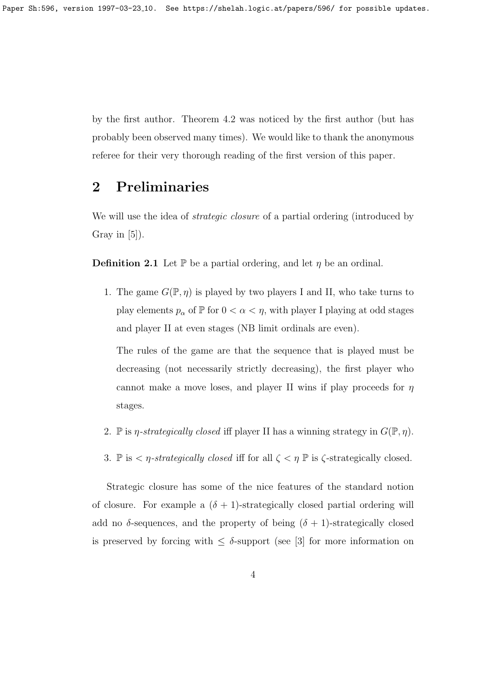by the first author. Theorem 4.2 was noticed by the first author (but has probably been observed many times). We would like to thank the anonymous referee for their very thorough reading of the first version of this paper.

## 2 Preliminaries

We will use the idea of *strategic closure* of a partial ordering (introduced by Gray in  $[5]$ ).

**Definition 2.1** Let  $\mathbb{P}$  be a partial ordering, and let  $\eta$  be an ordinal.

1. The game  $G(\mathbb{P}, \eta)$  is played by two players I and II, who take turns to play elements  $p_{\alpha}$  of  $\mathbb P$  for  $0 < \alpha < \eta$ , with player I playing at odd stages and player II at even stages (NB limit ordinals are even).

The rules of the game are that the sequence that is played must be decreasing (not necessarily strictly decreasing), the first player who cannot make a move loses, and player II wins if play proceeds for  $\eta$ stages.

- 2. P is *η-strategically closed* iff player II has a winning strategy in  $G(\mathbb{P}, \eta)$ .
- 3. P is  $\langle \eta \rangle$  is  $\langle \eta \rangle$  is  $\langle \eta \rangle$  is  $\langle \eta \rangle$  is  $\langle \eta \rangle$  is  $\langle \eta \rangle$  is  $\langle \eta \rangle$  is  $\langle \eta \rangle$  is  $\langle \eta \rangle$  is  $\langle \eta \rangle$  is  $\langle \eta \rangle$  is  $\langle \eta \rangle$  is  $\langle \eta \rangle$  is  $\langle \eta \rangle$  is  $\langle \eta \rangle$  is  $\langle \eta \rangle$  is  $\langle \eta \rangle$  is  $\langle \eta \rangle$

Strategic closure has some of the nice features of the standard notion of closure. For example a  $(\delta + 1)$ -strategically closed partial ordering will add no  $\delta$ -sequences, and the property of being  $(\delta + 1)$ -strategically closed is preserved by forcing with  $\leq \delta$ -support (see [3] for more information on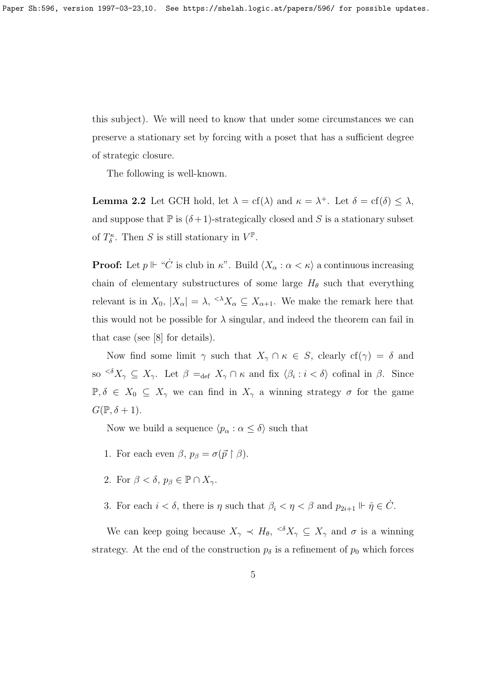this subject). We will need to know that under some circumstances we can preserve a stationary set by forcing with a poset that has a sufficient degree of strategic closure.

The following is well-known.

**Lemma 2.2** Let GCH hold, let  $\lambda = cf(\lambda)$  and  $\kappa = \lambda^+$ . Let  $\delta = cf(\delta) \leq \lambda$ , and suppose that  $\mathbb P$  is  $(\delta+1)$ -strategically closed and S is a stationary subset of  $T^{\kappa}_{\delta}$ . Then S is still stationary in  $V^{\mathbb{P}}$ .

**Proof:** Let  $p \Vdash "C$  is club in  $\kappa$ ". Build  $\langle X_\alpha : \alpha < \kappa \rangle$  a continuous increasing chain of elementary substructures of some large  $H_{\theta}$  such that everything relevant is in  $X_0$ ,  $|X_\alpha| = \lambda$ ,  $\lambda X_\alpha \subseteq X_{\alpha+1}$ . We make the remark here that this would not be possible for  $\lambda$  singular, and indeed the theorem can fail in that case (see [8] for details).

Now find some limit  $\gamma$  such that  $X_{\gamma} \cap \kappa \in S$ , clearly  $cf(\gamma) = \delta$  and so  $\langle \delta X_\gamma \subseteq X_\gamma$ . Let  $\beta =_{\text{def}} X_\gamma \cap \kappa$  and fix  $\langle \beta_i : i < \delta \rangle$  cofinal in  $\beta$ . Since  $\mathbb{P}, \delta \in X_0 \subseteq X_\gamma$  we can find in  $X_\gamma$  a winning strategy  $\sigma$  for the game  $G(\mathbb{P},\delta+1).$ 

Now we build a sequence  $\langle p_{\alpha} : \alpha \leq \delta \rangle$  such that

- 1. For each even  $\beta$ ,  $p_{\beta} = \sigma(\vec{p} \restriction \beta)$ .
- 2. For  $\beta < \delta$ ,  $p_{\beta} \in \mathbb{P} \cap X_{\gamma}$ .
- 3. For each  $i < \delta$ , there is  $\eta$  such that  $\beta_i < \eta < \beta$  and  $p_{2i+1} \Vdash \hat{\eta} \in \dot{C}$ .

We can keep going because  $X_{\gamma} \prec H_{\theta}$ ,  $\langle \delta X_{\gamma} \subseteq X_{\gamma}$  and  $\sigma$  is a winning strategy. At the end of the construction  $p_{\delta}$  is a refinement of  $p_0$  which forces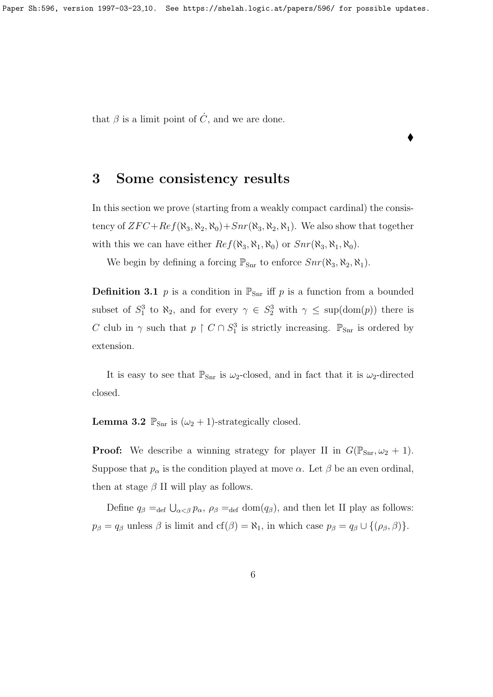Paper Sh:596, version 1997-03-23<sub>-10</sub>. See https://shelah.logic.at/papers/596/ for possible updates.

that  $\beta$  is a limit point of  $\dot{C}$ , and we are done.

## 3 Some consistency results

In this section we prove (starting from a weakly compact cardinal) the consistency of  $ZFC+Ref(\aleph_3, \aleph_2, \aleph_0)+Snr(\aleph_3, \aleph_2, \aleph_1)$ . We also show that together with this we can have either  $Ref(\aleph_3, \aleph_1, \aleph_0)$  or  $Snr(\aleph_3, \aleph_1, \aleph_0)$ .

 $\blacklozenge$ 

We begin by defining a forcing  $\mathbb{P}_{\text{Snr}}$  to enforce  $Snr(\aleph_3, \aleph_2, \aleph_1)$ .

**Definition 3.1** p is a condition in  $\mathbb{P}_{\text{Snr}}$  iff p is a function from a bounded subset of  $S_1^3$  to  $\aleph_2$ , and for every  $\gamma \in S_2^3$  with  $\gamma \leq \sup(\text{dom}(p))$  there is C club in  $\gamma$  such that  $p \restriction C \cap S^3$  is strictly increasing.  $\mathbb{P}_{\text{Sm}}$  is ordered by extension.

It is easy to see that  $\mathbb{P}_{\text{Snr}}$  is  $\omega_2$ -closed, and in fact that it is  $\omega_2$ -directed closed.

**Lemma 3.2**  $\mathbb{P}_{\text{Snr}}$  is  $(\omega_2 + 1)$ -strategically closed.

**Proof:** We describe a winning strategy for player II in  $G(\mathbb{P}_{\text{Snr}}, \omega_2 + 1)$ . Suppose that  $p_{\alpha}$  is the condition played at move  $\alpha$ . Let  $\beta$  be an even ordinal, then at stage  $\beta$  II will play as follows.

Define  $q_\beta =_{\text{def}} \bigcup_{\alpha < \beta} p_\alpha$ ,  $\rho_\beta =_{\text{def}} \text{dom}(q_\beta)$ , and then let II play as follows:  $p_{\beta} = q_{\beta}$  unless  $\beta$  is limit and cf( $\beta$ ) =  $\aleph_1$ , in which case  $p_{\beta} = q_{\beta} \cup \{(\rho_{\beta}, \beta)\}.$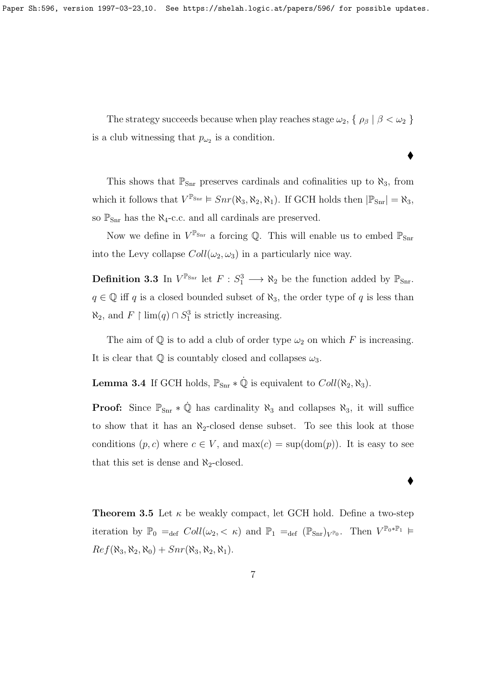Paper Sh:596, version 1997-03-23<sub>-10</sub>. See https://shelah.logic.at/papers/596/ for possible updates.

The strategy succeeds because when play reaches stage  $\omega_2$ ,  $\{\rho_\beta \mid \beta < \omega_2\}$ is a club witnessing that  $p_{\omega_2}$  is a condition.

♦

 $\bullet$ 

This shows that  $\mathbb{P}_{\text{Snr}}$  preserves cardinals and cofinalities up to  $\aleph_3$ , from which it follows that  $V^{\mathbb{P}_{\text{Snr}}} \models Snr(\aleph_3, \aleph_2, \aleph_1)$ . If GCH holds then  $|\mathbb{P}_{\text{Snr}}| = \aleph_3$ , so  $\mathbb{P}_{\text{Snr}}$  has the  $\aleph_4$ -c.c. and all cardinals are preserved.

Now we define in  $V^{\mathbb{P}_{\text{Snr}}}$  a forcing Q. This will enable us to embed  $\mathbb{P}_{\text{Snr}}$ into the Levy collapse  $Coll(\omega_2, \omega_3)$  in a particularly nice way.

**Definition 3.3** In  $V^{\mathbb{P}_{\text{Snr}}}$  let  $F : S_1^3 \longrightarrow \aleph_2$  be the function added by  $\mathbb{P}_{\text{Snr}}$ .  $q \in \mathbb{Q}$  iff q is a closed bounded subset of  $\aleph_3$ , the order type of q is less than  $\aleph_2$ , and  $F$  | lim(q) ∩  $S_1^3$  is strictly increasing.

The aim of  $\mathbb Q$  is to add a club of order type  $\omega_2$  on which F is increasing. It is clear that  $\mathbb Q$  is countably closed and collapses  $\omega_3$ .

**Lemma 3.4** If GCH holds,  $\mathbb{P}_{\text{Snr}} * \dot{\mathbb{Q}}$  is equivalent to  $Coll(\aleph_2, \aleph_3)$ .

**Proof:** Since  $\mathbb{P}_{\text{Snr}} * \hat{\mathbb{Q}}$  has cardinality  $\aleph_3$  and collapses  $\aleph_3$ , it will suffice to show that it has an  $\aleph_2$ -closed dense subset. To see this look at those conditions  $(p, c)$  where  $c \in V$ , and  $\max(c) = \sup(\text{dom}(p))$ . It is easy to see that this set is dense and  $\aleph_2$ -closed.

**Theorem 3.5** Let  $\kappa$  be weakly compact, let GCH hold. Define a two-step iteration by  $\mathbb{P}_0 =_{def} Coll(\omega_2, \langle \kappa \rangle)$  and  $\mathbb{P}_1 =_{def} (\mathbb{P}_{Snr})_{V^{\mathbb{P}_0}}$ . Then  $V^{\mathbb{P}_0 * \mathbb{P}_1} \models$  $Ref(\aleph_3, \aleph_2, \aleph_0) + Snr(\aleph_3, \aleph_2, \aleph_1).$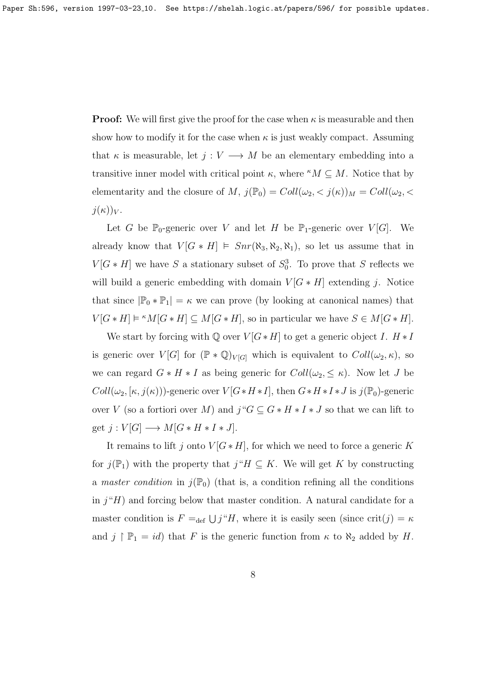**Proof:** We will first give the proof for the case when  $\kappa$  is measurable and then show how to modify it for the case when  $\kappa$  is just weakly compact. Assuming that  $\kappa$  is measurable, let  $j: V \longrightarrow M$  be an elementary embedding into a transitive inner model with critical point  $\kappa$ , where  $\kappa M \subseteq M$ . Notice that by elementarity and the closure of M,  $j(\mathbb{P}_0) = Coll(\omega_2, \langle j(\kappa) \rangle_M = Coll(\omega_2, \langle j(\kappa) \rangle_M)$  $j(\kappa))_V$ .

Let G be  $\mathbb{P}_0$ -generic over V and let H be  $\mathbb{P}_1$ -generic over  $V[G]$ . We already know that  $V[G * H] \models Snr(\aleph_3, \aleph_2, \aleph_1)$ , so let us assume that in  $V[G * H]$  we have S a stationary subset of  $S_0^3$ . To prove that S reflects we will build a generic embedding with domain  $V[G * H]$  extending j. Notice that since  $|\mathbb{P}_0 * \mathbb{P}_1| = \kappa$  we can prove (by looking at canonical names) that  $V[G * H] \models \lceil K(G * H)] \subseteq M[G * H]$ , so in particular we have  $S \in M[G * H]$ .

We start by forcing with  $\mathbb Q$  over  $V[G * H]$  to get a generic object I.  $H * I$ is generic over  $V[G]$  for  $(\mathbb{P} * \mathbb{Q})_{V[G]}$  which is equivalent to  $Coll(\omega_2, \kappa)$ , so we can regard  $G * H * I$  as being generic for  $Coll(\omega_2, \leq \kappa)$ . Now let J be  $Coll(\omega_2, [\kappa, j(\kappa)))$ -generic over  $V[G*H*I]$ , then  $G*H*I*J$  is  $j(\mathbb{P}_0)$ -generic over V (so a fortiori over M) and  $j "G \subseteq G * H * I * J$  so that we can lift to get  $j: V[G] \longrightarrow M[G * H * I * J].$ 

It remains to lift j onto  $V[G*H]$ , for which we need to force a generic K for  $j(\mathbb{P}_1)$  with the property that  $j''H \subseteq K$ . We will get K by constructing a master condition in  $j(\mathbb{P}_0)$  (that is, a condition refining all the conditions in  $j^*H$ ) and forcing below that master condition. A natural candidate for a master condition is  $F =_{def} \bigcup j^{\alpha}H$ , where it is easily seen (since crit $(j) = \kappa$ and  $j \upharpoonright \mathbb{P}_1 = id$  that F is the generic function from  $\kappa$  to  $\aleph_2$  added by H.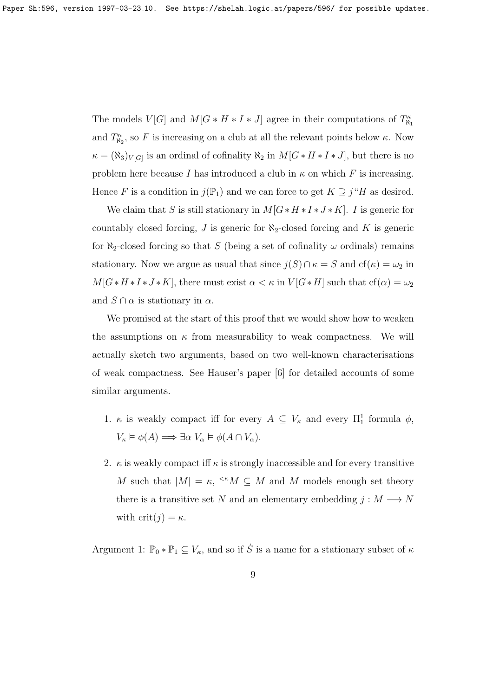The models  $V[G]$  and  $M[G * H * I * J]$  agree in their computations of  $T_{\aleph_1}^{\kappa}$ and  $T_{\aleph_2}^{\kappa}$ , so F is increasing on a club at all the relevant points below  $\kappa$ . Now  $\kappa = (\aleph_3)_{V[G]}$  is an ordinal of cofinality  $\aleph_2$  in  $M[G * H * I * J]$ , but there is no problem here because I has introduced a club in  $\kappa$  on which F is increasing. Hence F is a condition in  $j(\mathbb{P}_1)$  and we can force to get  $K \supseteq j''H$  as desired.

We claim that S is still stationary in  $M[G * H * I * J * K]$ . I is generic for countably closed forcing,  $J$  is generic for  $\aleph_2$ -closed forcing and  $K$  is generic for  $\aleph_2$ -closed forcing so that S (being a set of cofinality  $\omega$  ordinals) remains stationary. Now we argue as usual that since  $j(S) \cap \kappa = S$  and  $cf(\kappa) = \omega_2$  in  $M[G*H*J*K]$ , there must exist  $\alpha < \kappa$  in  $V[G*H]$  such that  $cf(\alpha) = \omega_2$ and  $S \cap \alpha$  is stationary in  $\alpha$ .

We promised at the start of this proof that we would show how to weaken the assumptions on  $\kappa$  from measurability to weak compactness. We will actually sketch two arguments, based on two well-known characterisations of weak compactness. See Hauser's paper [6] for detailed accounts of some similar arguments.

- 1.  $\kappa$  is weakly compact iff for every  $A \subseteq V_{\kappa}$  and every  $\Pi_1^1$  formula  $\phi$ ,  $V_{\kappa} \models \phi(A) \Longrightarrow \exists \alpha \; V_{\alpha} \models \phi(A \cap V_{\alpha}).$
- 2.  $\kappa$  is weakly compact iff  $\kappa$  is strongly inaccessible and for every transitive M such that  $|M| = \kappa$ ,  $\kappa M \subseteq M$  and M models enough set theory there is a transitive set N and an elementary embedding  $j : M \longrightarrow N$ with  $\text{crit}(j) = \kappa$ .

Argument 1:  $\mathbb{P}_0 * \mathbb{P}_1 \subseteq V_\kappa$ , and so if  $\dot{S}$  is a name for a stationary subset of  $\kappa$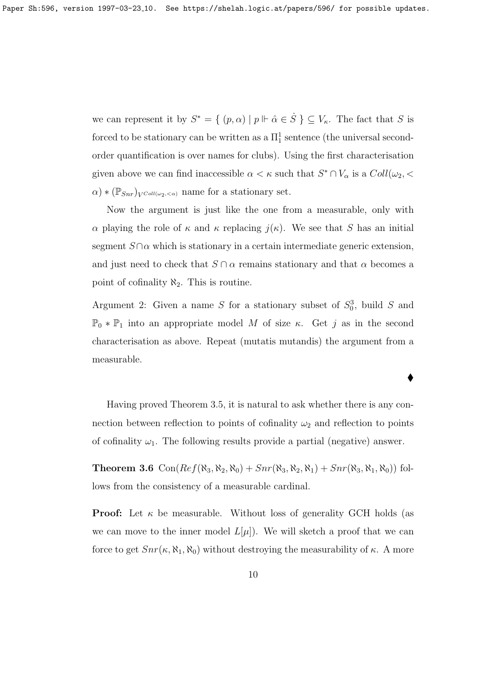we can represent it by  $S^* = \{ (p, \alpha) \mid p \Vdash \hat{\alpha} \in \dot{S} \} \subseteq V_{\kappa}$ . The fact that S is forced to be stationary can be written as a  $\Pi_1^1$  sentence (the universal secondorder quantification is over names for clubs). Using the first characterisation given above we can find inaccessible  $\alpha < \kappa$  such that  $S^* \cap V_\alpha$  is a  $Coll(\omega_2, \leq)$  $\alpha$ ) \* ( $\mathbb{P}_{Snr}$ )<sub>V</sub> $_{Coll(\omega_2, <\alpha)}$  name for a stationary set.

Now the argument is just like the one from a measurable, only with α playing the role of  $κ$  and  $κ$  replacing  $j(κ)$ . We see that S has an initial segment  $S \cap \alpha$  which is stationary in a certain intermediate generic extension, and just need to check that  $S \cap \alpha$  remains stationary and that  $\alpha$  becomes a point of cofinality  $\aleph_2$ . This is routine.

Argument 2: Given a name S for a stationary subset of  $S_0^3$ , build S and  $\mathbb{P}_0 * \mathbb{P}_1$  into an appropriate model M of size κ. Get j as in the second characterisation as above. Repeat (mutatis mutandis) the argument from a measurable.

 $\blacklozenge$ 

Having proved Theorem 3.5, it is natural to ask whether there is any connection between reflection to points of cofinality  $\omega_2$  and reflection to points of cofinality  $\omega_1$ . The following results provide a partial (negative) answer.

Theorem 3.6  $Con(Ref(\aleph_3, \aleph_2, \aleph_0) + Snr(\aleph_3, \aleph_2, \aleph_1) + Snr(\aleph_3, \aleph_1, \aleph_0))$  follows from the consistency of a measurable cardinal.

**Proof:** Let  $\kappa$  be measurable. Without loss of generality GCH holds (as we can move to the inner model  $L[\mu]$ . We will sketch a proof that we can force to get  $Snr(\kappa, \aleph_1, \aleph_0)$  without destroying the measurability of  $\kappa$ . A more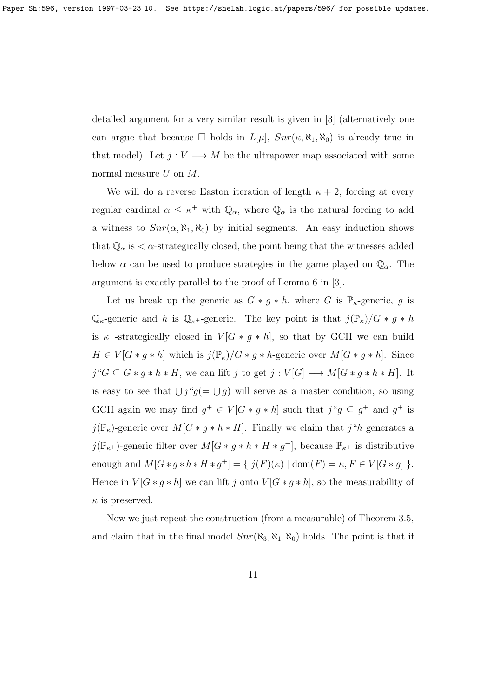detailed argument for a very similar result is given in [3] (alternatively one can argue that because  $\Box$  holds in  $L[\mu]$ ,  $Snr(\kappa, \aleph_1, \aleph_0)$  is already true in that model). Let  $j: V \longrightarrow M$  be the ultrapower map associated with some normal measure  $U$  on  $M$ .

We will do a reverse Easton iteration of length  $\kappa + 2$ , forcing at every regular cardinal  $\alpha \leq \kappa^+$  with  $\mathbb{Q}_{\alpha}$ , where  $\mathbb{Q}_{\alpha}$  is the natural forcing to add a witness to  $Snr(\alpha, \aleph_1, \aleph_0)$  by initial segments. An easy induction shows that  $\mathbb{Q}_{\alpha}$  is  $\alpha$ -strategically closed, the point being that the witnesses added below  $\alpha$  can be used to produce strategies in the game played on  $\mathbb{Q}_{\alpha}$ . The argument is exactly parallel to the proof of Lemma 6 in [3].

Let us break up the generic as  $G * g * h$ , where G is  $\mathbb{P}_{\kappa}$ -generic, g is  $\mathbb{Q}_{\kappa}$ -generic and h is  $\mathbb{Q}_{\kappa}$ +-generic. The key point is that  $j(\mathbb{P}_{\kappa})/G * g * h$ is  $\kappa^+$ -strategically closed in  $V[G * g * h]$ , so that by GCH we can build  $H \in V[G * g * h]$  which is  $j(\mathbb{P}_{\kappa})/G * g * h$ -generic over  $M[G * g * h]$ . Since  $j "G \subseteq G * g * h * H$ , we can lift j to get  $j : V[G] \longrightarrow M[G * g * h * H]$ . It is easy to see that  $\bigcup j$ " $g(=\bigcup g)$  will serve as a master condition, so using GCH again we may find  $g^+ \in V[G * g * h]$  such that  $j``g \subseteq g^+$  and  $g^+$  is  $j(\mathbb{P}_{\kappa})$ -generic over  $M[G * g * h * H]$ . Finally we claim that  $j "h$  generates a  $j(\mathbb{P}_{\kappa^+})$ -generic filter over  $M[G * g * h * H * g^+]$ , because  $\mathbb{P}_{\kappa^+}$  is distributive enough and  $M[G * g * h * H * g^+] = \{ j(F)(\kappa) | \text{dom}(F) = \kappa, F \in V[G * g] \}.$ Hence in  $V[G * g * h]$  we can lift j onto  $V[G * g * h]$ , so the measurability of  $\kappa$  is preserved.

Now we just repeat the construction (from a measurable) of Theorem 3.5, and claim that in the final model  $Snr(\aleph_3, \aleph_1, \aleph_0)$  holds. The point is that if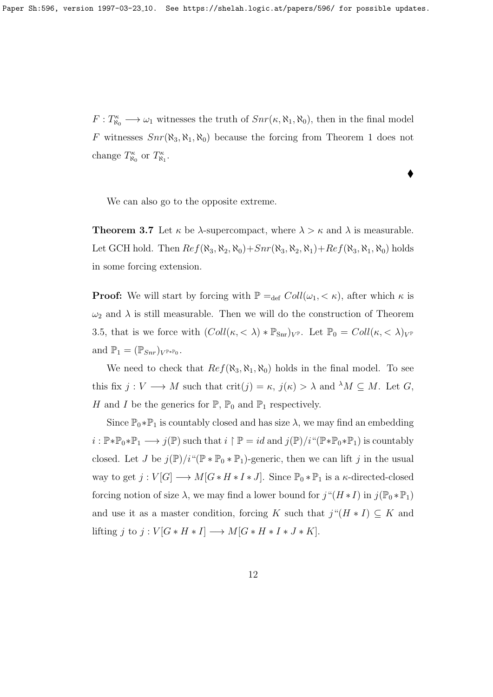$F: T^{\kappa}_{\aleph_0} \longrightarrow \omega_1$  witnesses the truth of  $Snr(\kappa, \aleph_1, \aleph_0)$ , then in the final model F witnesses  $Snr(\aleph_3, \aleph_1, \aleph_0)$  because the forcing from Theorem 1 does not change  $T_{\aleph_0}^{\kappa}$  or  $T_{\aleph_1}^{\kappa}$ .

 $\blacklozenge$ 

We can also go to the opposite extreme.

**Theorem 3.7** Let  $\kappa$  be  $\lambda$ -supercompact, where  $\lambda > \kappa$  and  $\lambda$  is measurable. Let GCH hold. Then  $Ref(\aleph_3, \aleph_2, \aleph_0) + Snr(\aleph_3, \aleph_2, \aleph_1) + Ref(\aleph_3, \aleph_1, \aleph_0)$  holds in some forcing extension.

**Proof:** We will start by forcing with  $\mathbb{P} = \text{def } Coll(\omega_1, \langle \kappa \rangle)$ , after which  $\kappa$  is  $\omega_2$  and  $\lambda$  is still measurable. Then we will do the construction of Theorem 3.5, that is we force with  $(Coll(\kappa,<\lambda) * \mathbb{P}_{\text{Snr}})_{V^{\mathbb{P}}}$ . Let  $\mathbb{P}_{0} = Coll(\kappa,<\lambda)_{V^{\mathbb{P}}}$ and  $\mathbb{P}_1 = (\mathbb{P}_{Snr})_{V^{\mathbb{P} * \mathbb{P}_0}}$ .

We need to check that  $Ref(\aleph_3, \aleph_1, \aleph_0)$  holds in the final model. To see this fix  $j: V \longrightarrow M$  such that  $\text{crit}(j) = \kappa$ ,  $j(\kappa) > \lambda$  and  $\lambda M \subseteq M$ . Let G, H and I be the generics for  $\mathbb{P}, \mathbb{P}_0$  and  $\mathbb{P}_1$  respectively.

Since  $\mathbb{P}_0 * \mathbb{P}_1$  is countably closed and has size  $\lambda$ , we may find an embedding  $i : \mathbb{P} * \mathbb{P}_0 * \mathbb{P}_1 \longrightarrow j(\mathbb{P})$  such that  $i \upharpoonright \mathbb{P} = id$  and  $j(\mathbb{P})/i \cdot \cdot \cdot (\mathbb{P} * \mathbb{P}_0 * \mathbb{P}_1)$  is countably closed. Let J be  $j(\mathbb{P})/i$ "( $\mathbb{P} * \mathbb{P}_0 * \mathbb{P}_1$ )-generic, then we can lift j in the usual way to get  $j: V[G] \longrightarrow M[G * H * I * J]$ . Since  $\mathbb{P}_0 * \mathbb{P}_1$  is a  $\kappa$ -directed-closed forcing notion of size  $\lambda$ , we may find a lower bound for  $j''(H * I)$  in  $j(\mathbb{P}_0 * \mathbb{P}_1)$ and use it as a master condition, forcing K such that  $j''(H * I) \subseteq K$  and lifting j to j :  $V[G * H * I] \longrightarrow M[G * H * I * J * K].$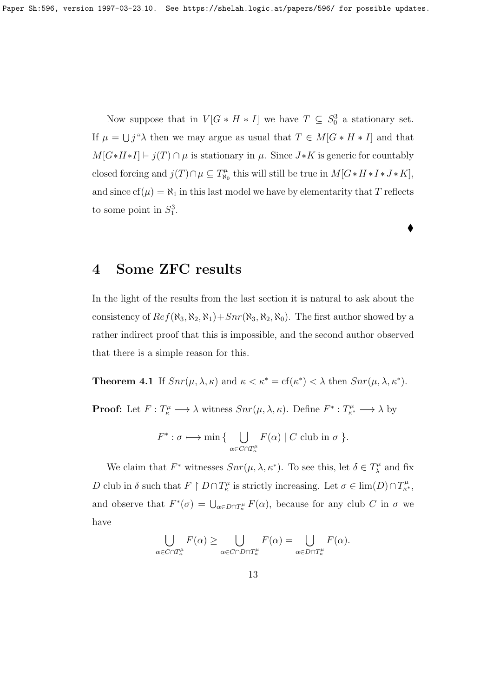Now suppose that in  $V[G * H * I]$  we have  $T \subseteq S_0^3$  a stationary set. If  $\mu = \bigcup_j \mathcal{A}$  then we may argue as usual that  $T \in M[G * H * I]$  and that  $M[G*H*I] \models j(T) \cap \mu$  is stationary in  $\mu$ . Since  $J*K$  is generic for countably closed forcing and  $j(T) \cap \mu \subseteq T_{\aleph}^{\mu}$  $\mathcal{C}_{\aleph_0}^{\mu}$  this will still be true in  $M[G*H*I*J*K],$ and since  $cf(\mu) = \aleph_1$  in this last model we have by elementarity that T reflects to some point in  $S_1^3$ .

 $\blacklozenge$ 

## 4 Some ZFC results

In the light of the results from the last section it is natural to ask about the consistency of  $Ref(\aleph_3, \aleph_2, \aleph_1) + Snr(\aleph_3, \aleph_2, \aleph_0)$ . The first author showed by a rather indirect proof that this is impossible, and the second author observed that there is a simple reason for this.

**Theorem 4.1** If  $Snr(\mu, \lambda, \kappa)$  and  $\kappa < \kappa^* = \text{cf}(\kappa^*) < \lambda$  then  $Snr(\mu, \lambda, \kappa^*)$ .

**Proof:** Let  $F: T_{\kappa}^{\mu} \longrightarrow \lambda$  witness  $Snr(\mu, \lambda, \kappa)$ . Define  $F^*: T_{\kappa^*}^{\mu} \longrightarrow \lambda$  by

$$
F^* : \sigma \longmapsto \min \{ \bigcup_{\alpha \in C \cap T_{\kappa}^{\mu}} F(\alpha) \mid C \text{ club in } \sigma \}.
$$

We claim that  $F^*$  witnesses  $Snr(\mu, \lambda, \kappa^*)$ . To see this, let  $\delta \in T_{\lambda}^{\mu}$  $\chi^{\mu}$  and fix D club in  $\delta$  such that  $F \restriction D \cap T^{\mu}_{\kappa}$  is strictly increasing. Let  $\sigma \in \lim(D) \cap T^{\mu}_{\kappa^*}$ , and observe that  $F^*(\sigma) = \bigcup_{\alpha \in D \cap T_\kappa^\mu} F(\alpha)$ , because for any club C in  $\sigma$  we have

$$
\bigcup_{\alpha \in C \cap T_{\kappa}^{\mu}} F(\alpha) \geq \bigcup_{\alpha \in C \cap D \cap T_{\kappa}^{\mu}} F(\alpha) = \bigcup_{\alpha \in D \cap T_{\kappa}^{\mu}} F(\alpha).
$$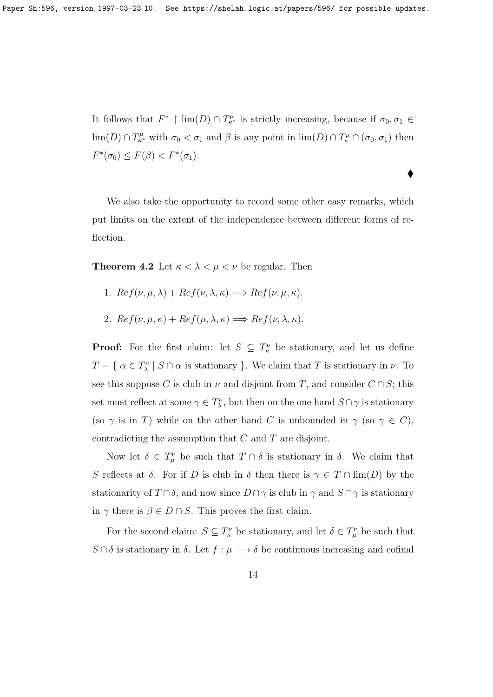It follows that  $F^*$  |  $\lim(D) \cap T_{\kappa^*}^{\mu}$  is strictly increasing, because if  $\sigma_0, \sigma_1 \in$  $\lim(D) \cap T^{\mu}_{\kappa^*}$  with  $\sigma_0 < \sigma_1$  and  $\beta$  is any point in  $\lim(D) \cap T^{\mu}_{\kappa} \cap (\sigma_0, \sigma_1)$  then  $F^*(\sigma_0) \leq F(\beta) < F^*(\sigma_1).$ 

 $\blacklozenge$ 

We also take the opportunity to record some other easy remarks, which put limits on the extent of the independence between different forms of reflection.

**Theorem 4.2** Let  $\kappa < \lambda < \mu < \nu$  be regular. Then

- 1.  $Ref(\nu, \mu, \lambda) + Ref(\nu, \lambda, \kappa) \Longrightarrow Ref(\nu, \mu, \kappa).$
- 2.  $Re f(\nu, \mu, \kappa) + Re f(\mu, \lambda, \kappa) \Longrightarrow Re f(\nu, \lambda, \kappa).$

**Proof:** For the first claim: let  $S \subseteq T_{\kappa}^{\nu}$  be stationary, and let us define  $T = \{ \alpha \in T_{\lambda}^{\nu} \mid S \cap \alpha \text{ is stationary } \}.$  We claim that T is stationary in  $\nu$ . To see this suppose C is club in  $\nu$  and disjoint from T, and consider  $C \cap S$ ; this set must reflect at some  $\gamma \in T_{\lambda}^{\nu}$ , but then on the one hand  $S \cap \gamma$  is stationary (so  $\gamma$  is in T) while on the other hand C is unbounded in  $\gamma$  (so  $\gamma \in C$ ), contradicting the assumption that C and T are disjoint.

Now let  $\delta \in T^{\nu}_{\mu}$  be such that  $T \cap \delta$  is stationary in  $\delta$ . We claim that S reflects at  $\delta$ . For if D is club in  $\delta$  then there is  $\gamma \in T \cap \lim(D)$  by the stationarity of  $T \cap \delta$ , and now since  $D \cap \gamma$  is club in  $\gamma$  and  $S \cap \gamma$  is stationary in  $\gamma$  there is  $\beta \in D \cap S$ . This proves the first claim.

For the second claim:  $S \subseteq T_{\kappa}^{\nu}$  be stationary, and let  $\delta \in T_{\mu}^{\nu}$  be such that  $S \cap \delta$  is stationary in  $\delta$ . Let  $f : \mu \longrightarrow \delta$  be continuous increasing and cofinal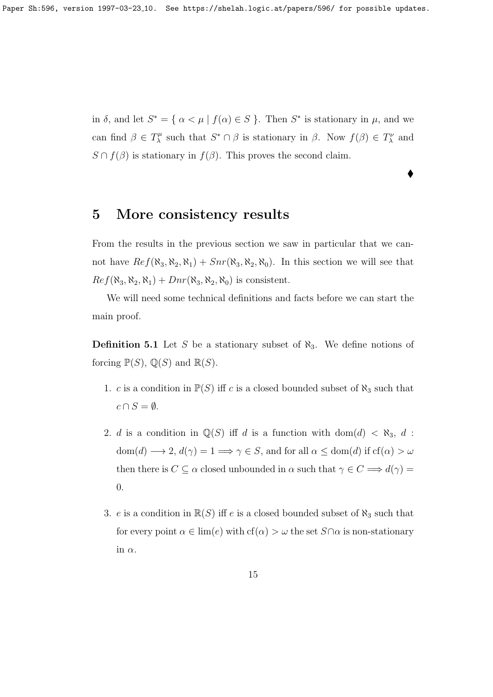in  $\delta$ , and let  $S^* = {\alpha < \mu | f(\alpha) \in S}$ . Then  $S^*$  is stationary in  $\mu$ , and we can find  $\beta \in T_{\lambda}^{\mu}$  $S^* \cap \beta$  is stationary in  $\beta$ . Now  $f(\beta) \in T^{\nu}_\lambda$  and  $S \cap f(\beta)$  is stationary in  $f(\beta)$ . This proves the second claim.

 $\blacklozenge$ 

#### 5 More consistency results

From the results in the previous section we saw in particular that we cannot have  $Ref(\aleph_3, \aleph_2, \aleph_1) + Snr(\aleph_3, \aleph_2, \aleph_0)$ . In this section we will see that  $Ref(\aleph_3, \aleph_2, \aleph_1) + Dnr(\aleph_3, \aleph_2, \aleph_0)$  is consistent.

We will need some technical definitions and facts before we can start the main proof.

**Definition 5.1** Let S be a stationary subset of  $\aleph_3$ . We define notions of forcing  $\mathbb{P}(S)$ ,  $\mathbb{Q}(S)$  and  $\mathbb{R}(S)$ .

- 1. c is a condition in  $\mathbb{P}(S)$  iff c is a closed bounded subset of  $\aleph_3$  such that  $c \cap S = \emptyset$ .
- 2. d is a condition in  $\mathbb{Q}(S)$  iff d is a function with dom $(d) < \aleph_3$ , d :  $dom(d) \longrightarrow 2, d(\gamma) = 1 \Longrightarrow \gamma \in S$ , and for all  $\alpha \leq dom(d)$  if  $cf(\alpha) > \omega$ then there is  $C \subseteq \alpha$  closed unbounded in  $\alpha$  such that  $\gamma \in C \Longrightarrow d(\gamma) =$ 0.
- 3. e is a condition in  $\mathbb{R}(S)$  iff e is a closed bounded subset of  $\aleph_3$  such that for every point  $\alpha \in \text{lim}(e)$  with  $cf(\alpha) > \omega$  the set  $S \cap \alpha$  is non-stationary in  $\alpha$ .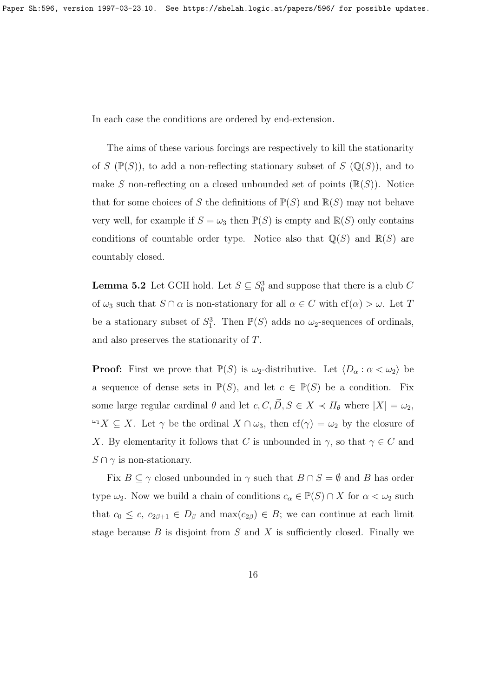In each case the conditions are ordered by end-extension.

The aims of these various forcings are respectively to kill the stationarity of S  $(\mathbb{P}(S))$ , to add a non-reflecting stationary subset of S  $(\mathbb{Q}(S))$ , and to make S non-reflecting on a closed unbounded set of points  $(\mathbb{R}(S))$ . Notice that for some choices of S the definitions of  $\mathbb{P}(S)$  and  $\mathbb{R}(S)$  may not behave very well, for example if  $S = \omega_3$  then  $\mathbb{P}(S)$  is empty and  $\mathbb{R}(S)$  only contains conditions of countable order type. Notice also that  $\mathbb{Q}(S)$  and  $\mathbb{R}(S)$  are countably closed.

**Lemma 5.2** Let GCH hold. Let  $S \subseteq S_0^3$  and suppose that there is a club C of  $\omega_3$  such that  $S \cap \alpha$  is non-stationary for all  $\alpha \in C$  with  $cf(\alpha) > \omega$ . Let T be a stationary subset of  $S_1^3$ . Then  $\mathbb{P}(S)$  adds no  $\omega_2$ -sequences of ordinals, and also preserves the stationarity of T.

**Proof:** First we prove that  $\mathbb{P}(S)$  is  $\omega_2$ -distributive. Let  $\langle D_\alpha : \alpha < \omega_2 \rangle$  be a sequence of dense sets in  $\mathbb{P}(S)$ , and let  $c \in \mathbb{P}(S)$  be a condition. Fix some large regular cardinal  $\theta$  and let  $c, C, \vec{D}, S \in X \prec H_{\theta}$  where  $|X| = \omega_2$ ,  $\omega_1 X \subseteq X$ . Let  $\gamma$  be the ordinal  $X \cap \omega_3$ , then  $cf(\gamma) = \omega_2$  by the closure of X. By elementarity it follows that C is unbounded in  $\gamma$ , so that  $\gamma \in C$  and  $S \cap \gamma$  is non-stationary.

Fix  $B \subseteq \gamma$  closed unbounded in  $\gamma$  such that  $B \cap S = \emptyset$  and B has order type  $\omega_2$ . Now we build a chain of conditions  $c_{\alpha} \in \mathbb{P}(S) \cap X$  for  $\alpha < \omega_2$  such that  $c_0 \leq c$ ,  $c_{2\beta+1} \in D_\beta$  and  $\max(c_{2\beta}) \in B$ ; we can continue at each limit stage because  $B$  is disjoint from  $S$  and  $X$  is sufficiently closed. Finally we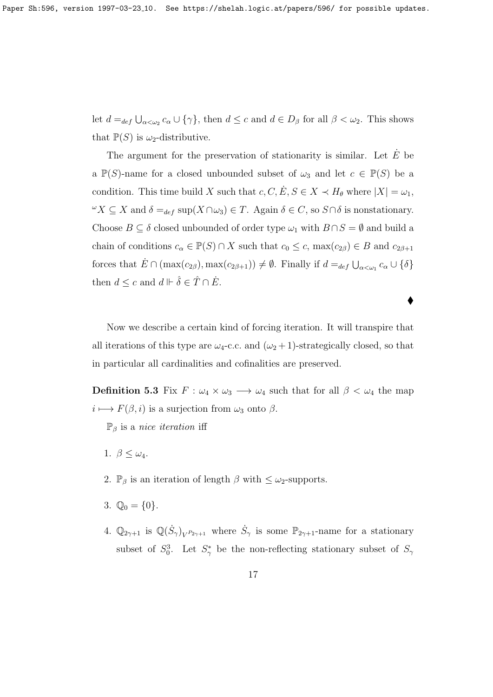let  $d =_{def} \bigcup_{\alpha < \omega_2} c_\alpha \cup \{\gamma\}$ , then  $d \leq c$  and  $d \in D_\beta$  for all  $\beta < \omega_2$ . This shows that  $\mathbb{P}(S)$  is  $\omega_2$ -distributive.

The argument for the preservation of stationarity is similar. Let  $E$  be a  $\mathbb{P}(S)$ -name for a closed unbounded subset of  $\omega_3$  and let  $c \in \mathbb{P}(S)$  be a condition. This time build X such that  $c, C, \dot{E}, S \in X \prec H_{\theta}$  where  $|X| = \omega_1$ ,  $\omega X \subseteq X$  and  $\delta =_{def}$  sup(X ∩ ω<sub>3</sub>) ∈ T. Again  $\delta \in C$ , so S ∩  $\delta$  is nonstationary. Choose  $B \subseteq \delta$  closed unbounded of order type  $\omega_1$  with  $B \cap S = \emptyset$  and build a chain of conditions  $c_{\alpha} \in \mathbb{P}(S) \cap X$  such that  $c_0 \leq c$ ,  $\max(c_{2\beta}) \in B$  and  $c_{2\beta+1}$ forces that  $\dot{E} \cap (\max(c_{2\beta}), \max(c_{2\beta+1})) \neq \emptyset$ . Finally if  $d =_{def} \bigcup_{\alpha < \omega_1} c_{\alpha} \cup \{\delta\}$ then  $d \leq c$  and  $d \Vdash \hat{\delta} \in \hat{T} \cap \dot{E}$ .

Now we describe a certain kind of forcing iteration. It will transpire that all iterations of this type are  $\omega_4$ -c.c. and  $(\omega_2 + 1)$ -strategically closed, so that in particular all cardinalities and cofinalities are preserved.

**Definition 5.3** Fix  $F : \omega_4 \times \omega_3 \longrightarrow \omega_4$  such that for all  $\beta < \omega_4$  the map  $i \longmapsto F(\beta, i)$  is a surjection from  $\omega_3$  onto  $\beta$ .

 $\mathbb{P}_{\beta}$  is a *nice iteration* iff

- 1.  $\beta \leq \omega_4$ .
- 2.  $\mathbb{P}_{\beta}$  is an iteration of length  $\beta$  with  $\leq \omega_2$ -supports.
- 3.  $\mathbb{Q}_0 = \{0\}.$
- 4.  $\mathbb{Q}_{2\gamma+1}$  is  $\mathbb{Q}(\dot{S}_{\gamma})_{V^{P_{2\gamma+1}}}$  where  $\dot{S}_{\gamma}$  is some  $\mathbb{P}_{2\gamma+1}$ -name for a stationary subset of  $S_0^3$ . Let  $S_\gamma^*$  be the non-reflecting stationary subset of  $S_\gamma$

 $\bullet$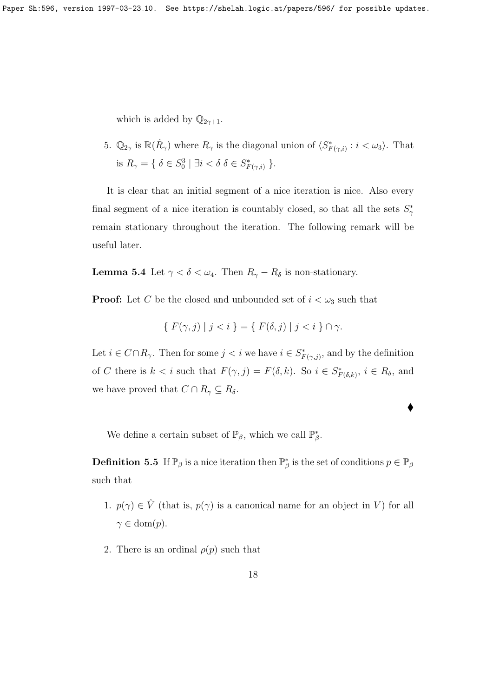which is added by  $\mathbb{Q}_{2\gamma+1}$ .

5.  $\mathbb{Q}_{2\gamma}$  is  $\mathbb{R}(\dot{R}_{\gamma})$  where  $R_{\gamma}$  is the diagonal union of  $\langle S^*_{F(\gamma,i)} : i < \omega_3 \rangle$ . That is  $R_{\gamma} = \{ \delta \in S_0^3 \mid \exists i < \delta \delta \in S_{F(\gamma,i)}^* \}.$ 

It is clear that an initial segment of a nice iteration is nice. Also every final segment of a nice iteration is countably closed, so that all the sets  $S^*_{\gamma}$ remain stationary throughout the iteration. The following remark will be useful later.

**Lemma 5.4** Let  $\gamma < \delta < \omega_4$ . Then  $R_{\gamma} - R_{\delta}$  is non-stationary.

**Proof:** Let C be the closed and unbounded set of  $i < \omega_3$  such that

$$
\{ F(\gamma, j) \mid j < i \} = \{ F(\delta, j) \mid j < i \} \cap \gamma.
$$

Let  $i \in C \cap R_{\gamma}$ . Then for some  $j < i$  we have  $i \in S^*_{F(\gamma, j)}$ , and by the definition of C there is  $k < i$  such that  $F(\gamma, j) = F(\delta, k)$ . So  $i \in S^*_{F(\delta, k)}, i \in R_\delta$ , and we have proved that  $C \cap R_{\gamma} \subseteq R_{\delta}$ .

 $\blacklozenge$ 

We define a certain subset of  $\mathbb{P}_{\beta}$ , which we call  $\mathbb{P}_{\beta}^*$ .

**Definition 5.5** If  $\mathbb{P}_{\beta}$  is a nice iteration then  $\mathbb{P}_{\beta}^*$  is the set of conditions  $p \in \mathbb{P}_{\beta}$ such that

- 1.  $p(\gamma) \in \hat{V}$  (that is,  $p(\gamma)$  is a canonical name for an object in V) for all  $\gamma \in \text{dom}(p).$
- 2. There is an ordinal  $\rho(p)$  such that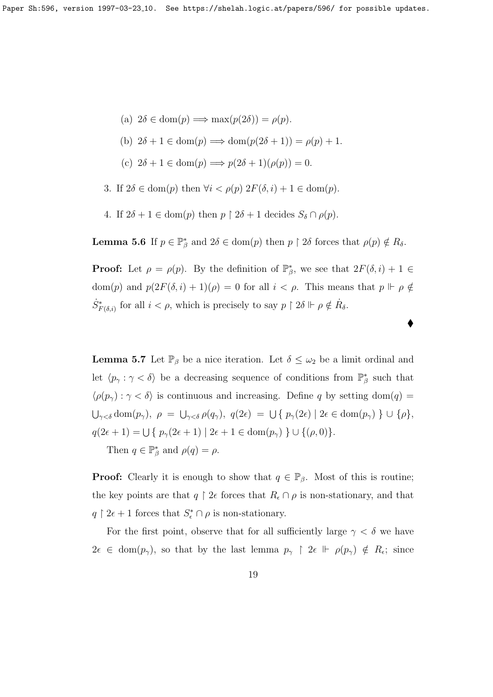- (a)  $2\delta \in \text{dom}(p) \Longrightarrow \max(p(2\delta)) = \rho(p)$ .
- (b)  $2\delta + 1 \in \text{dom}(p) \Longrightarrow \text{dom}(p(2\delta + 1)) = \rho(p) + 1.$
- (c)  $2\delta + 1 \in \text{dom}(p) \Longrightarrow p(2\delta + 1)(\rho(p)) = 0.$
- 3. If  $2\delta \in \text{dom}(p)$  then  $\forall i < \rho(p)$   $2F(\delta, i) + 1 \in \text{dom}(p)$ .
- 4. If  $2\delta + 1 \in \text{dom}(p)$  then  $p \restriction 2\delta + 1$  decides  $S_{\delta} \cap \rho(p)$ .

**Lemma 5.6** If  $p \in \mathbb{P}_{\beta}^*$  and  $2\delta \in \text{dom}(p)$  then  $p \restriction 2\delta$  forces that  $\rho(p) \notin R_{\delta}$ .

**Proof:** Let  $\rho = \rho(p)$ . By the definition of  $\mathbb{P}_{\beta}^*$ , we see that  $2F(\delta, i) + 1 \in$ dom(p) and  $p(2F(\delta, i) + 1)(\rho) = 0$  for all  $i < \rho$ . This means that  $p \Vdash \rho \notin$  $\dot{S}_{F(\delta,i)}^{*}$  for all  $i < \rho$ , which is precisely to say  $p \restriction 2\delta \Vdash \rho \notin \dot{R}_{\delta}$ .

♦

**Lemma 5.7** Let  $\mathbb{P}_{\beta}$  be a nice iteration. Let  $\delta \leq \omega_2$  be a limit ordinal and let  $\langle p_\gamma : \gamma < \delta \rangle$  be a decreasing sequence of conditions from  $\mathbb{P}^*_\beta$  such that  $\langle \rho(p_\gamma) : \gamma < \delta \rangle$  is continuous and increasing. Define q by setting dom(q) =  $\bigcup_{\gamma<\delta} \text{dom}(p_\gamma),\ \rho\ =\ \bigcup_{\gamma<\delta}\rho(q_\gamma),\ q(2\epsilon)\ =\ \bigcup\ \set{p_\gamma(2\epsilon)\mid 2\epsilon\in\text{dom}(p_\gamma)}\ \cup\ \lbrace \rho\rbrace,$  $q(2\epsilon + 1) = \bigcup \{ p_{\gamma}(2\epsilon + 1) | 2\epsilon + 1 \in \text{dom}(p_{\gamma}) \} \cup \{(\rho, 0)\}.$ 

Then  $q \in \mathbb{P}_{\beta}^*$  and  $\rho(q) = \rho$ .

**Proof:** Clearly it is enough to show that  $q \in \mathbb{P}_{\beta}$ . Most of this is routine; the key points are that  $q \restriction 2\epsilon$  forces that  $R_{\epsilon} \cap \rho$  is non-stationary, and that  $q \restriction 2\epsilon + 1$  forces that  $S_{\epsilon}^* \cap \rho$  is non-stationary.

For the first point, observe that for all sufficiently large  $\gamma < \delta$  we have  $2\epsilon \in \text{dom}(p_{\gamma})$ , so that by the last lemma  $p_{\gamma} \upharpoonright 2\epsilon \Vdash \rho(p_{\gamma}) \notin R_{\epsilon}$ ; since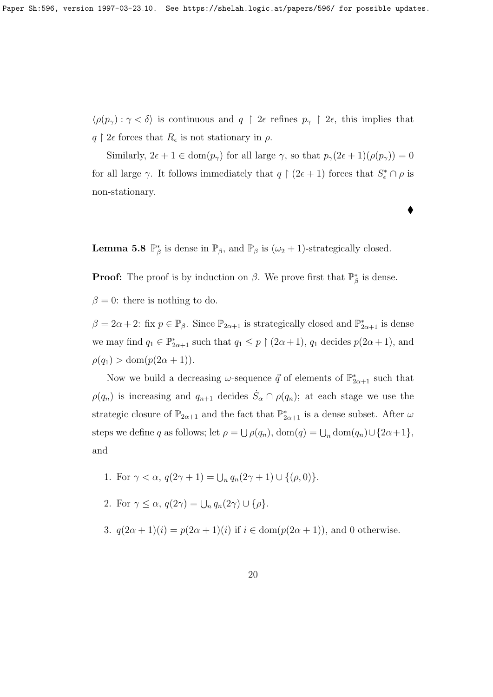$\langle \rho(p_\gamma) : \gamma < \delta \rangle$  is continuous and  $q \restriction 2\epsilon$  refines  $p_\gamma \restriction 2\epsilon$ , this implies that  $q \restriction 2\epsilon$  forces that  $R_{\epsilon}$  is not stationary in  $\rho$ .

Similarly,  $2\epsilon + 1 \in \text{dom}(p_\gamma)$  for all large  $\gamma$ , so that  $p_\gamma(2\epsilon + 1)(\rho(p_\gamma)) = 0$ for all large  $\gamma$ . It follows immediately that  $q \restriction (2\epsilon + 1)$  forces that  $S_{\epsilon}^* \cap \rho$  is non-stationary.

 $\blacklozenge$ 

**Lemma 5.8**  $\mathbb{P}_{\beta}^*$  is dense in  $\mathbb{P}_{\beta}$ , and  $\mathbb{P}_{\beta}$  is  $(\omega_2 + 1)$ -strategically closed.

**Proof:** The proof is by induction on  $\beta$ . We prove first that  $\mathbb{P}^*_{\beta}$  is dense.

 $\beta = 0$ : there is nothing to do.

 $\beta = 2\alpha + 2$ : fix  $p \in \mathbb{P}_{\beta}$ . Since  $\mathbb{P}_{2\alpha+1}$  is strategically closed and  $\mathbb{P}_{2\alpha+1}^*$  is dense we may find  $q_1 \in \mathbb{P}_{2\alpha+1}^*$  such that  $q_1 \leq p \restriction (2\alpha+1)$ ,  $q_1$  decides  $p(2\alpha+1)$ , and  $\rho(q_1) > \text{dom}(p(2\alpha + 1)).$ 

Now we build a decreasing  $\omega$ -sequence  $\vec{q}$  of elements of  $\mathbb{P}^*_{2\alpha+1}$  such that  $\rho(q_n)$  is increasing and  $q_{n+1}$  decides  $\dot{S}_\alpha \cap \rho(q_n)$ ; at each stage we use the strategic closure of  $\mathbb{P}_{2\alpha+1}$  and the fact that  $\mathbb{P}_{2\alpha+1}^*$  is a dense subset. After  $\omega$ steps we define q as follows; let  $\rho = \bigcup \rho(q_n)$ ,  $dom(q) = \bigcup_n dom(q_n) \cup \{2\alpha + 1\}$ , and

1. For 
$$
\gamma < \alpha
$$
,  $q(2\gamma + 1) = \bigcup_n q_n(2\gamma + 1) \cup \{(\rho, 0)\}.$ 

- 2. For  $\gamma \leq \alpha$ ,  $q(2\gamma) = \bigcup_n q_n(2\gamma) \cup {\rho}.$
- 3.  $q(2\alpha+1)(i) = p(2\alpha+1)(i)$  if  $i \in \text{dom}(p(2\alpha+1))$ , and 0 otherwise.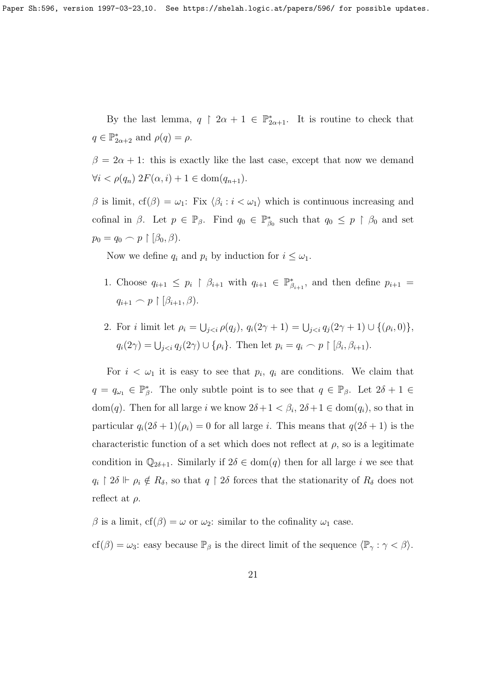Paper Sh:596, version 1997-03-23<sub>-10</sub>. See https://shelah.logic.at/papers/596/ for possible updates.

By the last lemma,  $q \restriction 2\alpha + 1 \in \mathbb{P}_{2\alpha+1}^*$ . It is routine to check that  $q \in \mathbb{P}_{2\alpha+2}^*$  and  $\rho(q) = \rho$ .

 $\beta = 2\alpha + 1$ : this is exactly like the last case, except that now we demand  $\forall i < \rho(q_n)$   $2F(\alpha, i) + 1 \in \text{dom}(q_{n+1}).$ 

β is limit,  $cf(β) = ω_1$ : Fix  $\langle β_i : i < ω_1 \rangle$  which is continuous increasing and cofinal in  $\beta$ . Let  $p \in \mathbb{P}_{\beta}$ . Find  $q_0 \in \mathbb{P}_{\beta_0}^*$  such that  $q_0 \leq p \restriction \beta_0$  and set  $p_0 = q_0 \frown p \restriction [\beta_0, \beta).$ 

Now we define  $q_i$  and  $p_i$  by induction for  $i \leq \omega_1$ .

- 1. Choose  $q_{i+1} \leq p_i \restriction \beta_{i+1}$  with  $q_{i+1} \in \mathbb{P}_{\beta_{i+1}}^*$ , and then define  $p_{i+1} =$  $q_{i+1} \frown p \upharpoonright [\beta_{i+1}, \beta).$
- 2. For *i* limit let  $\rho_i = \bigcup_{j < i} \rho(q_j)$ ,  $q_i(2\gamma + 1) = \bigcup_{j < i} q_j(2\gamma + 1) \cup \{(\rho_i, 0)\},$  $q_i(2\gamma) = \bigcup_{j < i} q_j(2\gamma) \cup \{\rho_i\}.$  Then let  $p_i = q_i \cap p \restriction [\beta_i, \beta_{i+1}).$

For  $i < \omega_1$  it is easy to see that  $p_i$ ,  $q_i$  are conditions. We claim that  $q = q_{\omega_1} \in \mathbb{P}_{\beta}^*$ . The only subtle point is to see that  $q \in \mathbb{P}_{\beta}$ . Let  $2\delta + 1 \in$ dom(q). Then for all large i we know  $2\delta + 1 < \beta_i$ ,  $2\delta + 1 \in \text{dom}(q_i)$ , so that in particular  $q_i(2\delta + 1)(\rho_i) = 0$  for all large i. This means that  $q(2\delta + 1)$  is the characteristic function of a set which does not reflect at  $\rho$ , so is a legitimate condition in  $\mathbb{Q}_{2\delta+1}$ . Similarly if  $2\delta \in \text{dom}(q)$  then for all large i we see that  $q_i \restriction 2\delta \Vdash \rho_i \notin R_\delta$ , so that  $q \restriction 2\delta$  forces that the stationarity of  $R_\delta$  does not reflect at  $\rho$ .

β is a limit,  $cf(β) = ω$  or  $ω_2$ : similar to the cofinality  $ω_1$  case.

cf( $\beta$ ) =  $\omega_3$ : easy because  $\mathbb{P}_{\beta}$  is the direct limit of the sequence  $\langle \mathbb{P}_{\gamma} : \gamma < \beta \rangle$ .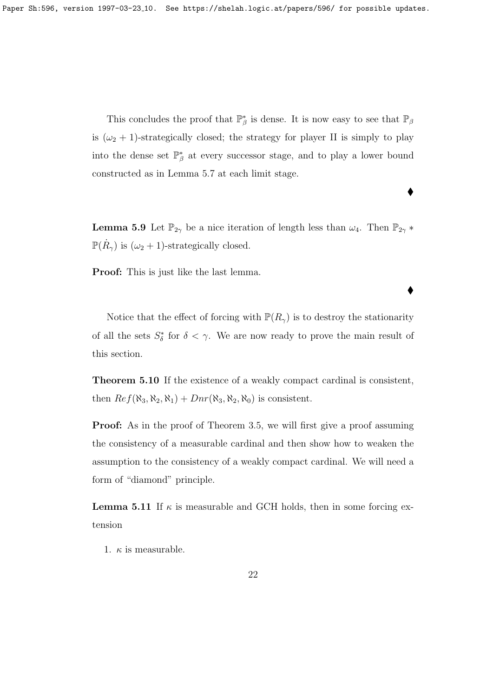This concludes the proof that  $\mathbb{P}^*_{\beta}$  is dense. It is now easy to see that  $\mathbb{P}_{\beta}$ is  $(\omega_2 + 1)$ -strategically closed; the strategy for player II is simply to play into the dense set  $\mathbb{P}^*_{\beta}$  at every successor stage, and to play a lower bound constructed as in Lemma 5.7 at each limit stage.

 $\blacklozenge$ 

 $\blacklozenge$ 

**Lemma 5.9** Let  $\mathbb{P}_{2\gamma}$  be a nice iteration of length less than  $\omega_4$ . Then  $\mathbb{P}_{2\gamma}$  \*  $\mathbb{P}(\dot{R}_{\gamma})$  is  $(\omega_2 + 1)$ -strategically closed.

Proof: This is just like the last lemma.

Notice that the effect of forcing with  $\mathbb{P}(R_{\gamma})$  is to destroy the stationarity of all the sets  $S^*_{\delta}$  for  $\delta < \gamma$ . We are now ready to prove the main result of this section.

Theorem 5.10 If the existence of a weakly compact cardinal is consistent, then  $Ref(\aleph_3, \aleph_2, \aleph_1) + Dnr(\aleph_3, \aleph_2, \aleph_0)$  is consistent.

**Proof:** As in the proof of Theorem 3.5, we will first give a proof assuming the consistency of a measurable cardinal and then show how to weaken the assumption to the consistency of a weakly compact cardinal. We will need a form of "diamond" principle.

**Lemma 5.11** If  $\kappa$  is measurable and GCH holds, then in some forcing extension

1.  $\kappa$  is measurable.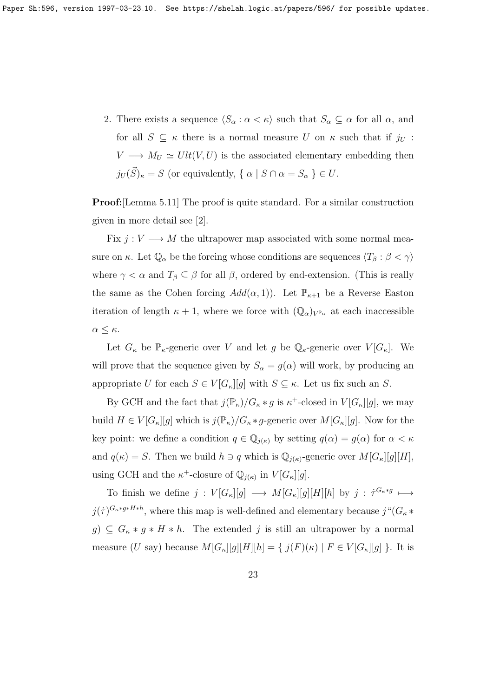2. There exists a sequence  $\langle S_\alpha : \alpha < \kappa \rangle$  such that  $S_\alpha \subseteq \alpha$  for all  $\alpha$ , and for all  $S \subseteq \kappa$  there is a normal measure U on  $\kappa$  such that if  $j_U$ :  $V \longrightarrow M_U \simeq Ult(V, U)$  is the associated elementary embedding then  $j_U(\vec{S})_{\kappa} = S$  (or equivalently,  $\{ \alpha \mid S \cap \alpha = S_{\alpha} \} \in U$ .

Proof:[Lemma 5.11] The proof is quite standard. For a similar construction given in more detail see [2].

Fix  $j: V \longrightarrow M$  the ultrapower map associated with some normal measure on  $\kappa$ . Let  $\mathbb{Q}_{\alpha}$  be the forcing whose conditions are sequences  $\langle T_{\beta} : \beta < \gamma \rangle$ where  $\gamma < \alpha$  and  $T_{\beta} \subseteq \beta$  for all  $\beta$ , ordered by end-extension. (This is really the same as the Cohen forcing  $Add(\alpha, 1)$ . Let  $\mathbb{P}_{\kappa+1}$  be a Reverse Easton iteration of length  $\kappa + 1$ , where we force with  $(\mathbb{Q}_{\alpha})_{V^{\mathbb{P}_{\alpha}}}$  at each inaccessible  $α ≤ κ.$ 

Let  $G_{\kappa}$  be  $\mathbb{P}_{\kappa}$ -generic over V and let g be  $\mathbb{Q}_{\kappa}$ -generic over  $V[G_{\kappa}]$ . We will prove that the sequence given by  $S_{\alpha} = g(\alpha)$  will work, by producing an appropriate U for each  $S \in V[G_{\kappa}][g]$  with  $S \subseteq \kappa$ . Let us fix such an S.

By GCH and the fact that  $j(\mathbb{P}_{\kappa})/G_{\kappa} * g$  is  $\kappa^+$ -closed in  $V[G_{\kappa}][g]$ , we may build  $H \in V[G_{\kappa}][g]$  which is  $j(\mathbb{P}_{\kappa})/G_{\kappa}*g$ -generic over  $M[G_{\kappa}][g]$ . Now for the key point: we define a condition  $q \in \mathbb{Q}_{j(\kappa)}$  by setting  $q(\alpha) = g(\alpha)$  for  $\alpha < \kappa$ and  $q(\kappa) = S$ . Then we build  $h \ni q$  which is  $\mathbb{Q}_{i(\kappa)}$ -generic over  $M[G_{\kappa}][g][H]$ , using GCH and the  $\kappa^+$ -closure of  $\mathbb{Q}_{j(\kappa)}$  in  $V[G_\kappa][g]$ .

To finish we define  $j: V[G_{\kappa}][g] \longrightarrow M[G_{\kappa}][g][H][h]$  by  $j: \dot{\tau}^{G_{\kappa} \ast g} \longmapsto$  $j(\tau)^{G_{\kappa}*g*H*h}$ , where this map is well-defined and elementary because  $j^{\mu}(G_{\kappa}*$  $g) \subseteq G_{\kappa} * g * H * h$ . The extended j is still an ultrapower by a normal measure (U say) because  $M[G_{\kappa}][g][H][h] = \{j(F)(\kappa) | F \in V[G_{\kappa}][g]\}$ . It is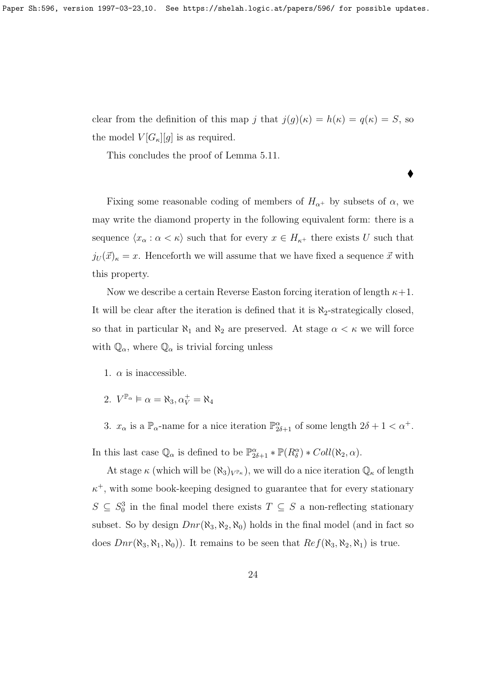clear from the definition of this map j that  $j(g)(\kappa) = h(\kappa) = q(\kappa) = S$ , so the model  $V[G_{\kappa}][g]$  is as required.

 $\blacklozenge$ 

This concludes the proof of Lemma 5.11.

Fixing some reasonable coding of members of  $H_{\alpha^+}$  by subsets of  $\alpha$ , we may write the diamond property in the following equivalent form: there is a sequence  $\langle x_\alpha : \alpha < \kappa \rangle$  such that for every  $x \in H_{\kappa^+}$  there exists U such that  $j_U(\vec{x})_{\kappa} = x$ . Henceforth we will assume that we have fixed a sequence  $\vec{x}$  with this property.

Now we describe a certain Reverse Easton forcing iteration of length  $\kappa+1$ . It will be clear after the iteration is defined that it is  $\aleph_2$ -strategically closed, so that in particular  $\aleph_1$  and  $\aleph_2$  are preserved. At stage  $\alpha < \kappa$  we will force with  $\mathbb{Q}_{\alpha}$ , where  $\mathbb{Q}_{\alpha}$  is trivial forcing unless

- 1.  $\alpha$  is inaccessible.
- 2.  $V^{\mathbb{P}_{\alpha}} \models \alpha = \aleph_3, \alpha_V^+ = \aleph_4$
- 3.  $x_{\alpha}$  is a  $\mathbb{P}_{\alpha}$ -name for a nice iteration  $\mathbb{P}^{\alpha}_{2\delta+1}$  of some length  $2\delta+1 < \alpha^{+}$ .

In this last case  $\mathbb{Q}_{\alpha}$  is defined to be  $\mathbb{P}^{\alpha}_{2\delta+1} * \mathbb{P}(R^{\alpha}_{\delta}) * Coll(\aleph_2, \alpha)$ .

At stage  $\kappa$  (which will be  $(\aleph_3)_{V^{\mathbb{P}_{\kappa}}}$ ), we will do a nice iteration  $\mathbb{Q}_{\kappa}$  of length  $\kappa^+$ , with some book-keeping designed to guarantee that for every stationary  $S \subseteq S_0^3$  in the final model there exists  $T \subseteq S$  a non-reflecting stationary subset. So by design  $Dnr(\aleph_3, \aleph_2, \aleph_0)$  holds in the final model (and in fact so does  $Dnr(\aleph_3, \aleph_1, \aleph_0)$ . It remains to be seen that  $Ref(\aleph_3, \aleph_2, \aleph_1)$  is true.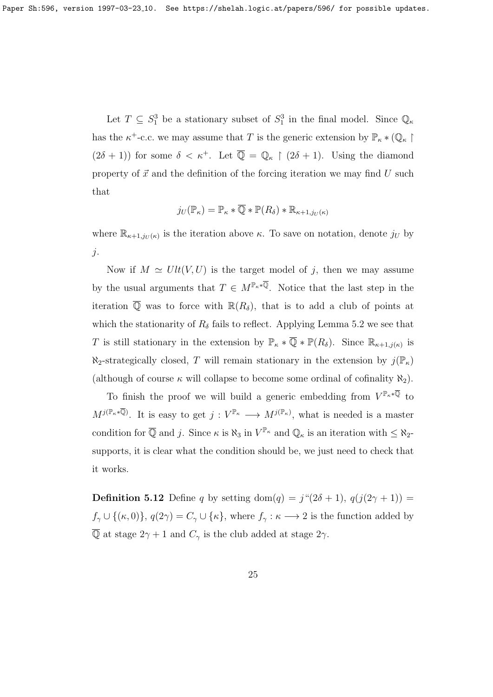Let  $T \subseteq S_1^3$  be a stationary subset of  $S_1^3$  in the final model. Since  $\mathbb{Q}_{\kappa}$ has the  $\kappa^+$ -c.c. we may assume that T is the generic extension by  $\mathbb{P}_{\kappa} * (\mathbb{Q}_{\kappa})$  $(2\delta + 1)$  for some  $\delta < \kappa^+$ . Let  $\overline{\mathbb{Q}} = \mathbb{Q}_\kappa \upharpoonright (2\delta + 1)$ . Using the diamond property of  $\vec{x}$  and the definition of the forcing iteration we may find U such that

$$
j_U(\mathbb{P}_\kappa)=\mathbb{P}_\kappa\ast\overline{\mathbb{Q}}\ast\mathbb{P}(R_\delta)\ast\mathbb{R}_{\kappa+1,j_U(\kappa)}
$$

where  $\mathbb{R}_{\kappa+1,j_{U}(\kappa)}$  is the iteration above  $\kappa$ . To save on notation, denote  $j_{U}$  by  $\dot{j}$ .

Now if  $M \simeq Ult(V, U)$  is the target model of j, then we may assume by the usual arguments that  $T \in M^{\mathbb{P}_{\kappa} * \overline{\mathbb{Q}}}$ . Notice that the last step in the iteration  $\overline{Q}$  was to force with  $\mathbb{R}(R_{\delta})$ , that is to add a club of points at which the stationarity of  $R_{\delta}$  fails to reflect. Applying Lemma 5.2 we see that T is still stationary in the extension by  $\mathbb{P}_{\kappa} * \overline{\mathbb{Q}} * \mathbb{P}(R_{\delta})$ . Since  $\mathbb{R}_{\kappa+1,j(\kappa)}$  is  $\aleph_2$ -strategically closed, T will remain stationary in the extension by  $j(\mathbb{P}_\kappa)$ (although of course  $\kappa$  will collapse to become some ordinal of cofinality  $\aleph_2$ ).

To finish the proof we will build a generic embedding from  $V^{\mathbb{P}_{\kappa} * \overline{\mathbb{Q}}}$  to  $M^{j(\mathbb{P}_{\kappa}*\overline{\mathbb{Q}})}$ . It is easy to get  $j: V^{\mathbb{P}_{\kappa}} \longrightarrow M^{j(\mathbb{P}_{\kappa})}$ , what is needed is a master condition for  $\overline{Q}$  and j. Since  $\kappa$  is  $\aleph_3$  in  $V^{\mathbb{P}_{\kappa}}$  and  $\mathbb{Q}_{\kappa}$  is an iteration with  $\leq \aleph_2$ supports, it is clear what the condition should be, we just need to check that it works.

**Definition 5.12** Define q by setting dom(q) =  $j''(2\delta + 1)$ ,  $q(j(2\gamma + 1))$  =  $f_{\gamma} \cup \{(\kappa, 0)\}, q(2\gamma) = C_{\gamma} \cup \{\kappa\}, \text{ where } f_{\gamma} : \kappa \longrightarrow 2 \text{ is the function added by }$  $\overline{\mathbb{Q}}$  at stage  $2\gamma + 1$  and  $C_{\gamma}$  is the club added at stage  $2\gamma$ .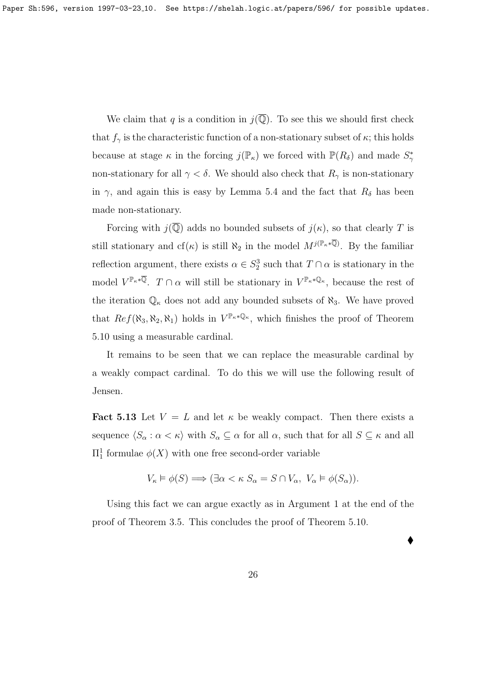We claim that q is a condition in  $j(\overline{Q})$ . To see this we should first check that  $f_{\gamma}$  is the characteristic function of a non-stationary subset of  $\kappa$ ; this holds because at stage  $\kappa$  in the forcing  $j(\mathbb{P}_{\kappa})$  we forced with  $\mathbb{P}(R_{\delta})$  and made  $S_{\gamma}^*$ non-stationary for all  $\gamma < \delta$ . We should also check that  $R_{\gamma}$  is non-stationary in  $\gamma$ , and again this is easy by Lemma 5.4 and the fact that  $R_{\delta}$  has been made non-stationary.

Forcing with  $j(\overline{Q})$  adds no bounded subsets of  $j(\kappa)$ , so that clearly T is still stationary and cf( $\kappa$ ) is still  $\aleph_2$  in the model  $M^{j(\mathbb{P}_{\kappa}*\overline{\mathbb{Q}})}$ . By the familiar reflection argument, there exists  $\alpha \in S_2^3$  such that  $T \cap \alpha$  is stationary in the model  $V^{\mathbb{P}_{\kappa}*\overline{\mathbb{Q}}}.$   $T \cap \alpha$  will still be stationary in  $V^{\mathbb{P}_{\kappa}*\mathbb{Q}_{\kappa}}$ , because the rest of the iteration  $\mathbb{Q}_{\kappa}$  does not add any bounded subsets of  $\aleph_3$ . We have proved that  $Ref(\aleph_3, \aleph_2, \aleph_1)$  holds in  $V^{\mathbb{P}_{\kappa} \times \mathbb{Q}_{\kappa}}$ , which finishes the proof of Theorem 5.10 using a measurable cardinal.

It remains to be seen that we can replace the measurable cardinal by a weakly compact cardinal. To do this we will use the following result of Jensen.

**Fact 5.13** Let  $V = L$  and let  $\kappa$  be weakly compact. Then there exists a sequence  $\langle S_\alpha : \alpha < \kappa \rangle$  with  $S_\alpha \subseteq \alpha$  for all  $\alpha$ , such that for all  $S \subseteq \kappa$  and all  $\Pi_1^1$  formulae  $\phi(X)$  with one free second-order variable

$$
V_{\kappa} \vDash \phi(S) \Longrightarrow (\exists \alpha < \kappa \ S_{\alpha} = S \cap V_{\alpha}, \ V_{\alpha} \vDash \phi(S_{\alpha})).
$$

Using this fact we can argue exactly as in Argument 1 at the end of the proof of Theorem 3.5. This concludes the proof of Theorem 5.10.

 $\blacklozenge$